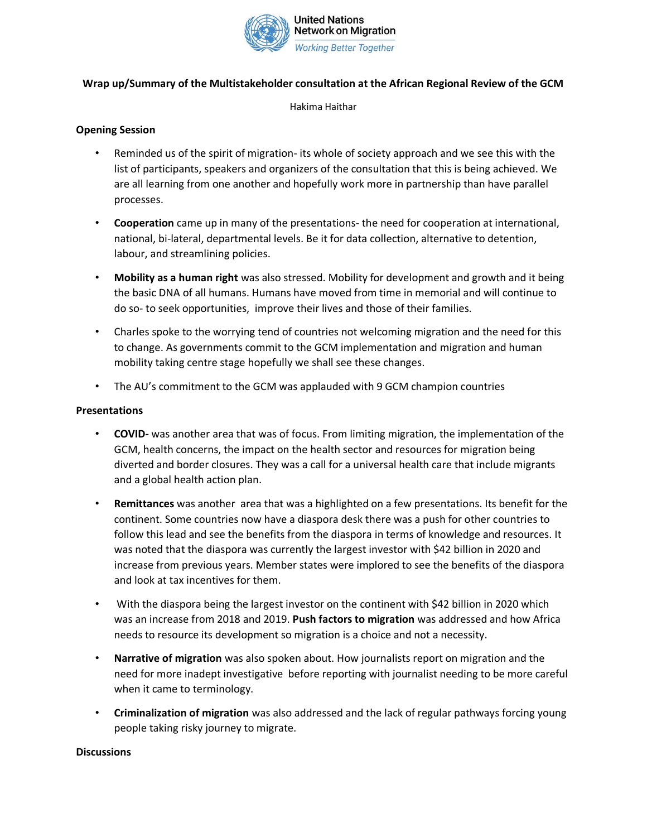

# **Wrap up/Summary of the Multistakeholder consultation at the African Regional Review of the GCM**

Hakima Haithar

# **Opening Session**

- Reminded us of the spirit of migration- its whole of society approach and we see this with the list of participants, speakers and organizers of the consultation that this is being achieved. We are all learning from one another and hopefully work more in partnership than have parallel processes.
- **Cooperation** came up in many of the presentations- the need for cooperation at international, national, bi-lateral, departmental levels. Be it for data collection, alternative to detention, labour, and streamlining policies.
- **Mobility as a human right** was also stressed. Mobility for development and growth and it being the basic DNA of all humans. Humans have moved from time in memorial and will continue to do so- to seek opportunities, improve their lives and those of their families.
- Charles spoke to the worrying tend of countries not welcoming migration and the need for this to change. As governments commit to the GCM implementation and migration and human mobility taking centre stage hopefully we shall see these changes.
- The AU's commitment to the GCM was applauded with 9 GCM champion countries

# **Presentations**

- **COVID-** was another area that was of focus. From limiting migration, the implementation of the GCM, health concerns, the impact on the health sector and resources for migration being diverted and border closures. They was a call for a universal health care that include migrants and a global health action plan.
- **Remittances** was another area that was a highlighted on a few presentations. Its benefit for the continent. Some countries now have a diaspora desk there was a push for other countries to follow this lead and see the benefits from the diaspora in terms of knowledge and resources. It was noted that the diaspora was currently the largest investor with \$42 billion in 2020 and increase from previous years. Member states were implored to see the benefits of the diaspora and look at tax incentives for them.
- With the diaspora being the largest investor on the continent with \$42 billion in 2020 which was an increase from 2018 and 2019. **Push factors to migration** was addressed and how Africa needs to resource its development so migration is a choice and not a necessity.
- **Narrative of migration** was also spoken about. How journalists report on migration and the need for more inadept investigative before reporting with journalist needing to be more careful when it came to terminology.
- **Criminalization of migration** was also addressed and the lack of regular pathways forcing young people taking risky journey to migrate.

#### **Discussions**